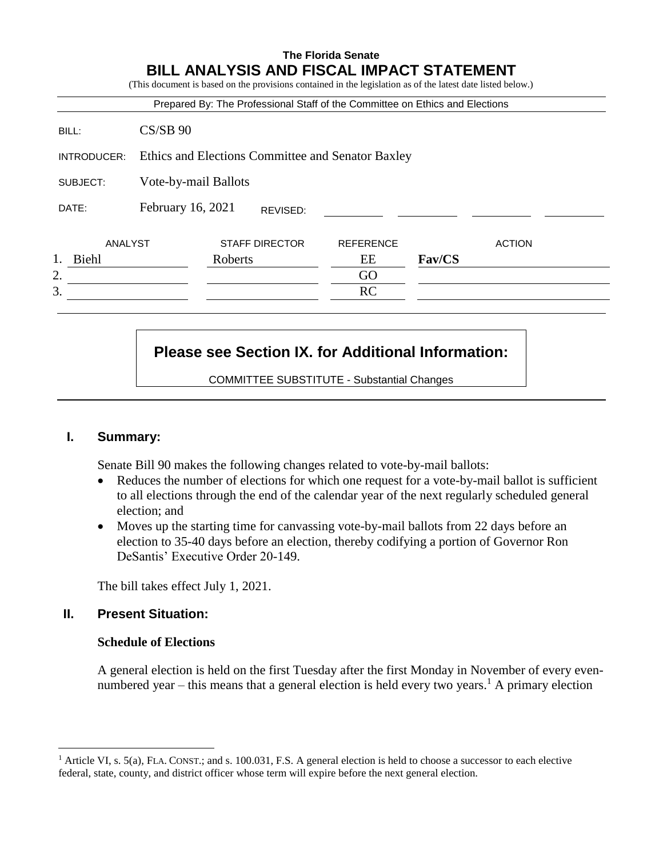|             |                                                   |         |                       | Prepared By: The Professional Staff of the Committee on Ethics and Elections |               |               |
|-------------|---------------------------------------------------|---------|-----------------------|------------------------------------------------------------------------------|---------------|---------------|
| BILL:       | $CS/SB$ 90                                        |         |                       |                                                                              |               |               |
| INTRODUCER: | Ethics and Elections Committee and Senator Baxley |         |                       |                                                                              |               |               |
| SUBJECT:    | Vote-by-mail Ballots                              |         |                       |                                                                              |               |               |
| DATE:       | February 16, 2021                                 |         | REVISED:              |                                                                              |               |               |
| ANALYST     |                                                   |         | <b>STAFF DIRECTOR</b> | <b>REFERENCE</b>                                                             |               | <b>ACTION</b> |
| Biehl       |                                                   | Roberts |                       | EЕ                                                                           | <b>Fav/CS</b> |               |
| 2.          |                                                   |         |                       | GO                                                                           |               |               |
| 3.          |                                                   |         |                       | <b>RC</b>                                                                    |               |               |

# **Please see Section IX. for Additional Information:**

COMMITTEE SUBSTITUTE - Substantial Changes

# **I. Summary:**

Senate Bill 90 makes the following changes related to vote-by-mail ballots:

- Reduces the number of elections for which one request for a vote-by-mail ballot is sufficient to all elections through the end of the calendar year of the next regularly scheduled general election; and
- Moves up the starting time for canvassing vote-by-mail ballots from 22 days before an election to 35-40 days before an election, thereby codifying a portion of Governor Ron DeSantis' Executive Order 20-149.

The bill takes effect July 1, 2021.

# **II. Present Situation:**

 $\overline{a}$ 

# **Schedule of Elections**

A general election is held on the first Tuesday after the first Monday in November of every evennumbered year – this means that a general election is held every two years.<sup>1</sup> A primary election

<sup>&</sup>lt;sup>1</sup> Article VI, s. 5(a), FLA. CONST.; and s. 100.031, F.S. A general election is held to choose a successor to each elective federal, state, county, and district officer whose term will expire before the next general election.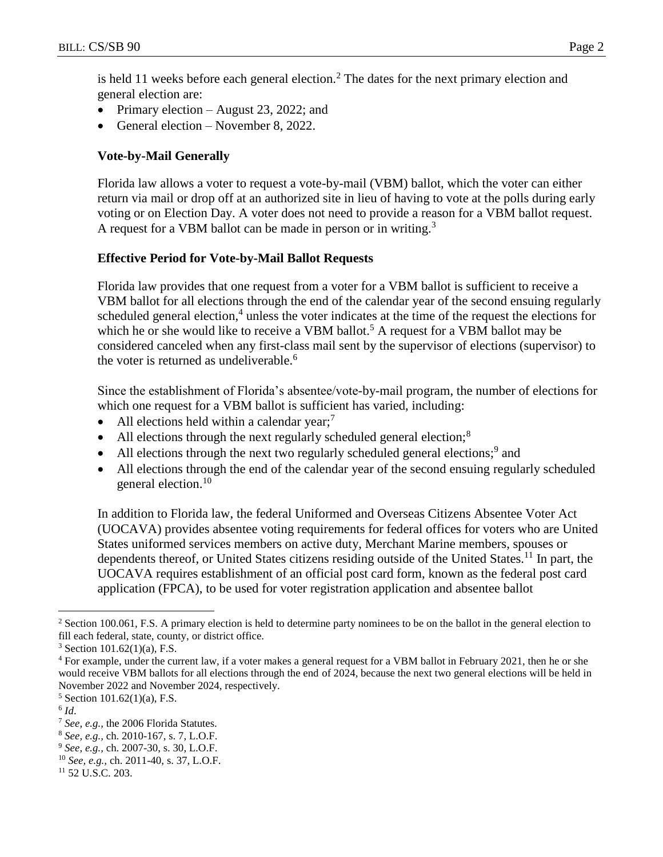is held 11 weeks before each general election.<sup>2</sup> The dates for the next primary election and general election are:

- Primary election August 23, 2022; and
- General election November 8, 2022.

# **Vote-by-Mail Generally**

Florida law allows a voter to request a vote-by-mail (VBM) ballot, which the voter can either return via mail or drop off at an authorized site in lieu of having to vote at the polls during early voting or on Election Day. A voter does not need to provide a reason for a VBM ballot request. A request for a VBM ballot can be made in person or in writing.<sup>3</sup>

## **Effective Period for Vote-by-Mail Ballot Requests**

Florida law provides that one request from a voter for a VBM ballot is sufficient to receive a VBM ballot for all elections through the end of the calendar year of the second ensuing regularly scheduled general election,<sup>4</sup> unless the voter indicates at the time of the request the elections for which he or she would like to receive a VBM ballot.<sup>5</sup> A request for a VBM ballot may be considered canceled when any first-class mail sent by the supervisor of elections (supervisor) to the voter is returned as undeliverable.<sup>6</sup>

Since the establishment of Florida's absentee/vote-by-mail program, the number of elections for which one request for a VBM ballot is sufficient has varied, including:

- All elections held within a calendar year;<sup>7</sup>
- All elections through the next regularly scheduled general election;<sup>8</sup>
- All elections through the next two regularly scheduled general elections;<sup>9</sup> and
- All elections through the end of the calendar year of the second ensuing regularly scheduled general election.<sup>10</sup>

In addition to Florida law, the federal Uniformed and Overseas Citizens Absentee Voter Act (UOCAVA) provides absentee voting requirements for federal offices for voters who are United States uniformed services members on active duty, Merchant Marine members, spouses or dependents thereof, or United States citizens residing outside of the United States.<sup>11</sup> In part, the UOCAVA requires establishment of an official post card form, known as the federal post card application (FPCA), to be used for voter registration application and absentee ballot

 $\overline{a}$ 

<sup>&</sup>lt;sup>2</sup> Section 100.061, F.S. A primary election is held to determine party nominees to be on the ballot in the general election to fill each federal, state, county, or district office.

 $3$  Section 101.62(1)(a), F.S.

<sup>4</sup> For example, under the current law, if a voter makes a general request for a VBM ballot in February 2021, then he or she would receive VBM ballots for all elections through the end of 2024, because the next two general elections will be held in November 2022 and November 2024, respectively.

 $5$  Section 101.62(1)(a), F.S.

<sup>6</sup> *Id*.

<sup>7</sup> *See, e.g.,* the 2006 Florida Statutes.

<sup>8</sup> *See, e.g.,* ch. 2010-167, s. 7, L.O.F.

<sup>9</sup> *See, e.g.,* ch. 2007-30, s. 30, L.O.F.

<sup>10</sup> *See, e.g.,* ch. 2011-40, s. 37, L.O.F.

<sup>11</sup> 52 U.S.C. 203.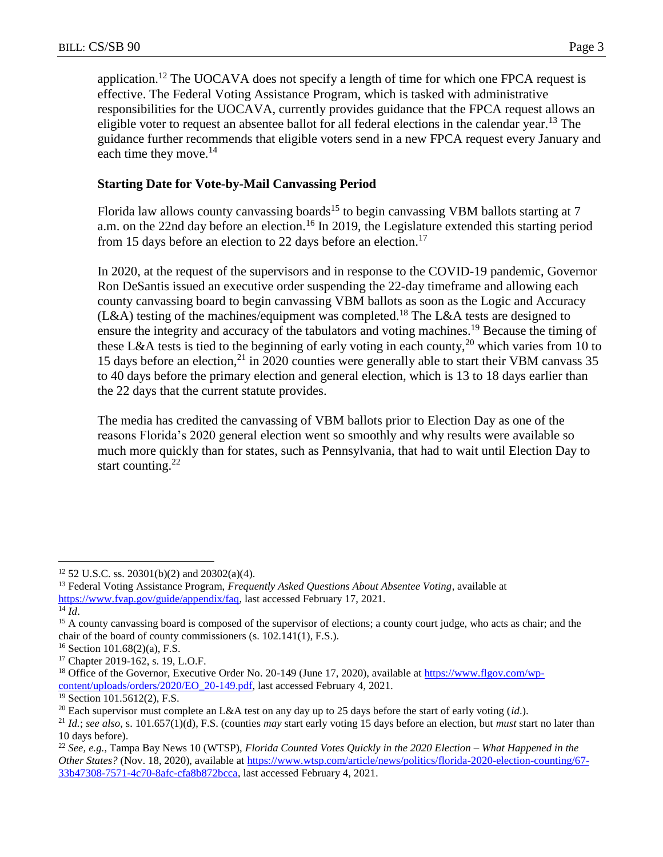application.<sup>12</sup> The UOCAVA does not specify a length of time for which one FPCA request is effective. The Federal Voting Assistance Program, which is tasked with administrative responsibilities for the UOCAVA, currently provides guidance that the FPCA request allows an eligible voter to request an absentee ballot for all federal elections in the calendar year.<sup>13</sup> The guidance further recommends that eligible voters send in a new FPCA request every January and each time they move.<sup>14</sup>

# **Starting Date for Vote-by-Mail Canvassing Period**

Florida law allows county canvassing boards<sup>15</sup> to begin canvassing VBM ballots starting at 7 a.m. on the 22nd day before an election.<sup>16</sup> In 2019, the Legislature extended this starting period from 15 days before an election to 22 days before an election.<sup>17</sup>

In 2020, at the request of the supervisors and in response to the COVID-19 pandemic, Governor Ron DeSantis issued an executive order suspending the 22-day timeframe and allowing each county canvassing board to begin canvassing VBM ballots as soon as the Logic and Accuracy  $(L&A)$  testing of the machines/equipment was completed.<sup>18</sup> The L $&A$  tests are designed to ensure the integrity and accuracy of the tabulators and voting machines.<sup>19</sup> Because the timing of these L&A tests is tied to the beginning of early voting in each county,<sup>20</sup> which varies from 10 to 15 days before an election, $^{21}$  in 2020 counties were generally able to start their VBM canvass 35 to 40 days before the primary election and general election, which is 13 to 18 days earlier than the 22 days that the current statute provides.

The media has credited the canvassing of VBM ballots prior to Election Day as one of the reasons Florida's 2020 general election went so smoothly and why results were available so much more quickly than for states, such as Pennsylvania, that had to wait until Election Day to start counting. $^{22}$ 

<sup>14</sup> *Id*.

 $\overline{a}$ 

<sup>12</sup> 52 U.S.C. ss. 20301(b)(2) and 20302(a)(4).

<sup>13</sup> Federal Voting Assistance Program, *Frequently Asked Questions About Absentee Voting*, available at [https://www.fvap.gov/guide/appendix/faq,](https://www.fvap.gov/guide/appendix/faq) last accessed February 17, 2021.

<sup>&</sup>lt;sup>15</sup> A county canvassing board is composed of the supervisor of elections; a county court judge, who acts as chair; and the chair of the board of county commissioners (s. 102.141(1), F.S.).

 $16$  Section 101.68(2)(a), F.S.

<sup>17</sup> Chapter 2019-162, s. 19, L.O.F.

<sup>&</sup>lt;sup>18</sup> Office of the Governor, Executive Order No. 20-149 (June 17, 2020), available at [https://www.flgov.com/wp](https://www.flgov.com/wp-content/uploads/orders/2020/EO_20-149.pdf)[content/uploads/orders/2020/EO\\_20-149.pdf,](https://www.flgov.com/wp-content/uploads/orders/2020/EO_20-149.pdf) last accessed February 4, 2021.

<sup>19</sup> Section 101.5612(2), F.S.

<sup>20</sup> Each supervisor must complete an L&A test on any day up to 25 days before the start of early voting (*id*.).

<sup>21</sup> *Id.*; *see also*, s. 101.657(1)(d), F.S. (counties *may* start early voting 15 days before an election, but *must* start no later than 10 days before).

<sup>22</sup> *See, e.g.*, Tampa Bay News 10 (WTSP), *Florida Counted Votes Quickly in the 2020 Election – What Happened in the Other States?* (Nov. 18, 2020), available at [https://www.wtsp.com/article/news/politics/florida-2020-election-counting/67-](https://www.wtsp.com/article/news/politics/florida-2020-election-counting/67-33b47308-7571-4c70-8afc-cfa8b872bcca) [33b47308-7571-4c70-8afc-cfa8b872bcca,](https://www.wtsp.com/article/news/politics/florida-2020-election-counting/67-33b47308-7571-4c70-8afc-cfa8b872bcca) last accessed February 4, 2021.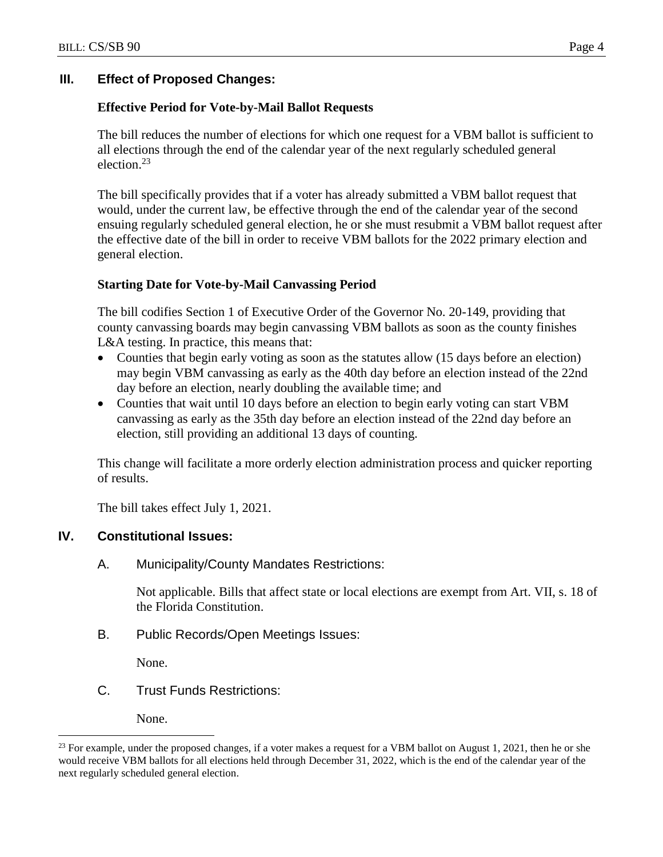# **III. Effect of Proposed Changes:**

## **Effective Period for Vote-by-Mail Ballot Requests**

The bill reduces the number of elections for which one request for a VBM ballot is sufficient to all elections through the end of the calendar year of the next regularly scheduled general election. 23

The bill specifically provides that if a voter has already submitted a VBM ballot request that would, under the current law, be effective through the end of the calendar year of the second ensuing regularly scheduled general election, he or she must resubmit a VBM ballot request after the effective date of the bill in order to receive VBM ballots for the 2022 primary election and general election.

#### **Starting Date for Vote-by-Mail Canvassing Period**

The bill codifies Section 1 of Executive Order of the Governor No. 20-149, providing that county canvassing boards may begin canvassing VBM ballots as soon as the county finishes L&A testing. In practice, this means that:

- Counties that begin early voting as soon as the statutes allow (15 days before an election) may begin VBM canvassing as early as the 40th day before an election instead of the 22nd day before an election, nearly doubling the available time; and
- Counties that wait until 10 days before an election to begin early voting can start VBM canvassing as early as the 35th day before an election instead of the 22nd day before an election, still providing an additional 13 days of counting.

This change will facilitate a more orderly election administration process and quicker reporting of results.

The bill takes effect July 1, 2021.

# **IV. Constitutional Issues:**

A. Municipality/County Mandates Restrictions:

Not applicable. Bills that affect state or local elections are exempt from Art. VII, s. 18 of the Florida Constitution.

B. Public Records/Open Meetings Issues:

None.

C. Trust Funds Restrictions:

None.

 $\overline{a}$ 

 $^{23}$  For example, under the proposed changes, if a voter makes a request for a VBM ballot on August 1, 2021, then he or she would receive VBM ballots for all elections held through December 31, 2022, which is the end of the calendar year of the next regularly scheduled general election.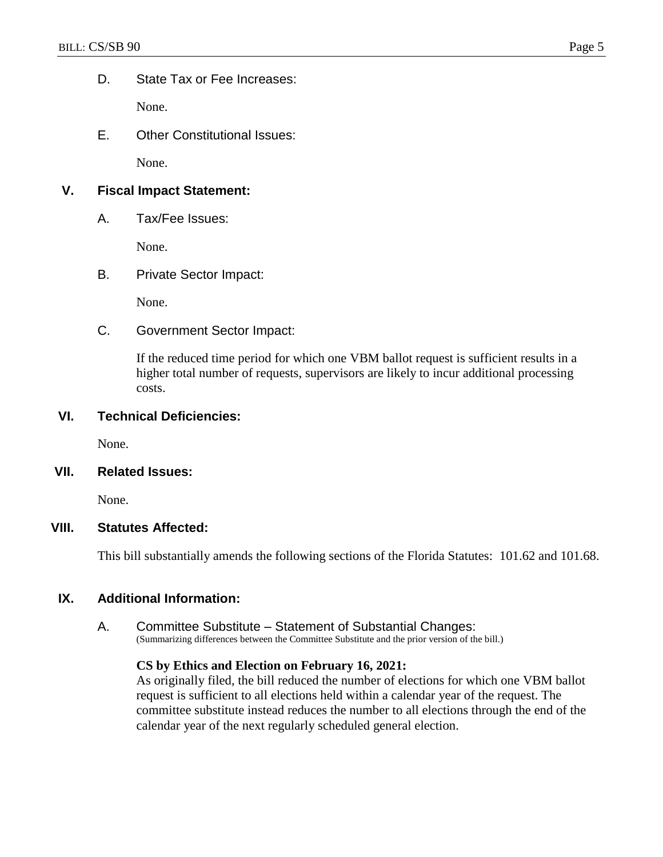D. State Tax or Fee Increases:

None.

E. Other Constitutional Issues:

None.

# **V. Fiscal Impact Statement:**

A. Tax/Fee Issues:

None.

B. Private Sector Impact:

None.

C. Government Sector Impact:

If the reduced time period for which one VBM ballot request is sufficient results in a higher total number of requests, supervisors are likely to incur additional processing costs.

## **VI. Technical Deficiencies:**

None.

## **VII. Related Issues:**

None.

## **VIII. Statutes Affected:**

This bill substantially amends the following sections of the Florida Statutes: 101.62 and 101.68.

## **IX. Additional Information:**

A. Committee Substitute – Statement of Substantial Changes: (Summarizing differences between the Committee Substitute and the prior version of the bill.)

## **CS by Ethics and Election on February 16, 2021:**

As originally filed, the bill reduced the number of elections for which one VBM ballot request is sufficient to all elections held within a calendar year of the request. The committee substitute instead reduces the number to all elections through the end of the calendar year of the next regularly scheduled general election.